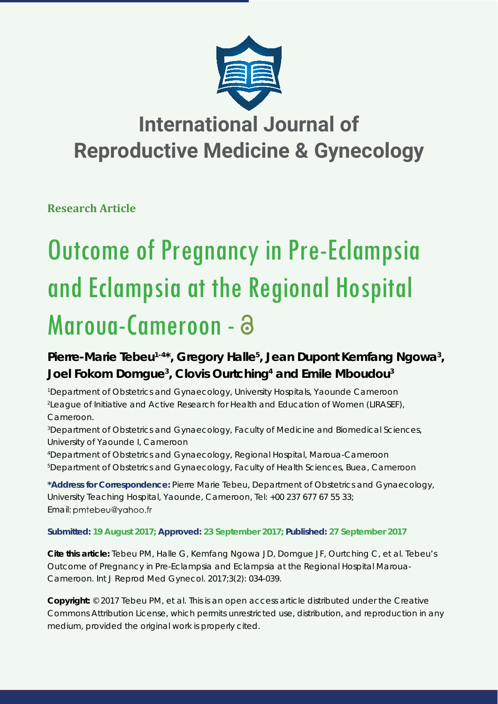

## **International Journal of Reproductive Medicine & Gynecology**

**Research Article**

# Outcome of Pregnancy in Pre-Eclampsia and Eclampsia at the Regional Hospital Maroua-Cameroon -

## Pierre-Marie Tebeu<sup>1-4\*</sup>, Gregory Halle<sup>5</sup>, Jean Dupont Kemfang Ngowa<sup>3</sup>, **Joel Fokom Domgue3 , Clovis Ourtching4 and Emile Mboudou3**

*1 Department of Obstetrics and Gynaecology, University Hospitals, Yaounde Cameroon 2 League of Initiative and Active Research for Health and Education of Women (LIRASEF), Cameroon.*

*3 Department of Obstetrics and Gynaecology, Faculty of Medicine and Biomedical Sciences, University of Yaounde I, Cameroon* 

*4 Department of Obstetrics and Gynaecology, Regional Hospital, Maroua-Cameroon 5 Department of Obstetrics and Gynaecology, Faculty of Health Sciences, Buea, Cameroon* 

**\*Address for Correspondence:** Pierre Marie Tebeu, Department of Obstetrics and Gynaecology, University Teaching Hospital, Yaounde, Cameroon, Tel: +00 237 677 67 55 33; Email: pmtebeu@yahoo.fr

### **Submitted: 19 August 2017; Approved: 23 September 2017; Published: 27 September 2017**

**Cite this article:** Tebeu PM, Halle G, Kemfang Ngowa JD, Domgue JF, Ourtching C, et al. Tebeu's Outcome of Pregnancy in Pre-Eclampsia and Eclampsia at the Regional Hospital Maroua-Cameroon. Int J Reprod Med Gynecol. 2017;3(2): 034-039.

**Copyright:** © 2017 Tebeu PM, et al. This is an open access article distributed under the Creative Commons Attribution License, which permits unrestricted use, distribution, and reproduction in any medium, provided the original work is properly cited.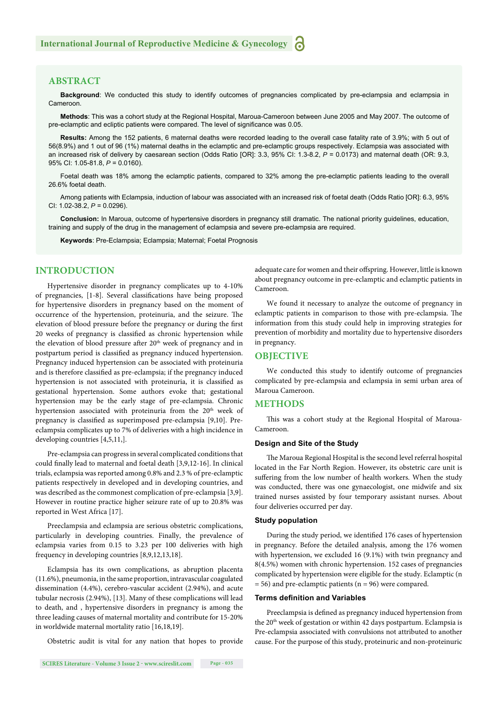#### **ABSTRACT**

**Background**: We conducted this study to identify outcomes of pregnancies complicated by pre-eclampsia and eclampsia in Cameroon.

**Methods**: This was a cohort study at the Regional Hospital, Maroua-Cameroon between June 2005 and May 2007. The outcome of pre-eclamptic and ecliptic patients were compared. The level of significance was 0.05.

**Results:** Among the 152 patients, 6 maternal deaths were recorded leading to the overall case fatality rate of 3.9%; with 5 out of 56(8.9%) and 1 out of 96 (1%) maternal deaths in the eclamptic and pre-eclamptic groups respectively. Eclampsia was associated with an increased risk of delivery by caesarean section (Odds Ratio [OR]: 3.3, 95% CI: 1.3-8.2, *P* = 0.0173) and maternal death (OR: 9.3, 95% CI: 1.05-81.8, *P* = 0.0160).

Foetal death was 18% among the eclamptic patients, compared to 32% among the pre-eclamptic patients leading to the overall 26.6% foetal death.

Among patients with Eclampsia, induction of labour was associated with an increased risk of foetal death (Odds Ratio [OR]: 6.3, 95% CI: 1.02-38.2, *P* = 0.0296).

**Conclusion:** In Maroua, outcome of hypertensive disorders in pregnancy still dramatic. The national priority guidelines, education, training and supply of the drug in the management of eclampsia and severe pre-eclampsia are required.

**Keywords**: Pre-Eclampsia; Eclampsia; Maternal; Foetal Prognosis

#### **INTRODUCTION**

Hypertensive disorder in pregnancy complicates up to 4-10% of pregnancies, [1-8]. Several classifications have being proposed for hypertensive disorders in pregnancy based on the moment of occurrence of the hypertension, proteinuria, and the seizure. The elevation of blood pressure before the pregnancy or during the first 20 weeks of pregnancy is classified as chronic hypertension while the elevation of blood pressure after 20<sup>th</sup> week of pregnancy and in postpartum period is classified as pregnancy induced hypertension. Pregnancy induced hypertension can be associated with proteinuria and is therefore classified as pre-eclampsia; if the pregnancy induced hypertension is not associated with proteinuria, it is classified as gestational hypertension. Some authors evoke that; gestational hypertension may be the early stage of pre-eclampsia. Chronic hypertension associated with proteinuria from the 20<sup>th</sup> week of pregnancy is classified as superimposed pre-eclampsia [9,10]. Preeclampsia complicates up to 7% of deliveries with a high incidence in developing countries [4,5,11,].

Pre-eclampsia can progress in several complicated conditions that could finally lead to maternal and foetal death [3,9,12-16]. In clinical trials, eclampsia was reported among 0.8% and 2.3 % of pre-eclamptic patients respectively in developed and in developing countries, and was described as the commonest complication of pre-eclampsia [3,9]. However in routine practice higher seizure rate of up to 20.8% was reported in West Africa [17].

Preeclampsia and eclampsia are serious obstetric complications, particularly in developing countries. Finally, the prevalence of eclampsia varies from 0.15 to 3.23 per 100 deliveries with high frequency in developing countries [8,9,12,13,18].

Eclampsia has its own complications, as abruption placenta (11.6%), pneumonia, in the same proportion, intravascular coagulated dissemination (4.4%), cerebro-vascular accident (2.94%), and acute tubular necrosis (2.94%), [13]. Many of these complications will lead to death, and , hypertensive disorders in pregnancy is among the three leading causes of maternal mortality and contribute for 15-20% in worldwide maternal mortality ratio [16,18,19].

Obstetric audit is vital for any nation that hopes to provide

adequate care for women and their offspring. However, little is known about pregnancy outcome in pre-eclamptic and eclamptic patients in Cameroon.

We found it necessary to analyze the outcome of pregnancy in eclamptic patients in comparison to those with pre-eclampsia. The information from this study could help in improving strategies for prevention of morbidity and mortality due to hypertensive disorders in pregnancy.

#### **OBJECTIVE**

We conducted this study to identify outcome of pregnancies complicated by pre-eclampsia and eclampsia in semi urban area of Maroua Cameroon.

#### **METHODS**

This was a cohort study at the Regional Hospital of Maroua-Cameroon.

#### **Design and Site of the Study**

The Maroua Regional Hospital is the second level referral hospital located in the Far North Region. However, its obstetric care unit is suffering from the low number of health workers. When the study was conducted, there was one gynaecologist, one midwife and six trained nurses assisted by four temporary assistant nurses. About four deliveries occurred per day.

#### **Study population**

During the study period, we identified 176 cases of hypertension in pregnancy. Before the detailed analysis, among the 176 women with hypertension, we excluded 16 (9.1%) with twin pregnancy and 8(4.5%) women with chronic hypertension. 152 cases of pregnancies complicated by hypertension were eligible for the study. Eclamptic (n  $= 56$ ) and pre-eclamptic patients (n  $= 96$ ) were compared.

#### **Terms definition and Variables**

Preeclampsia is defined as pregnancy induced hypertension from the 20<sup>th</sup> week of gestation or within 42 days postpartum. Eclampsia is Pre-eclampsia associated with convulsions not attributed to another cause. For the purpose of this study, proteinuric and non-proteinuric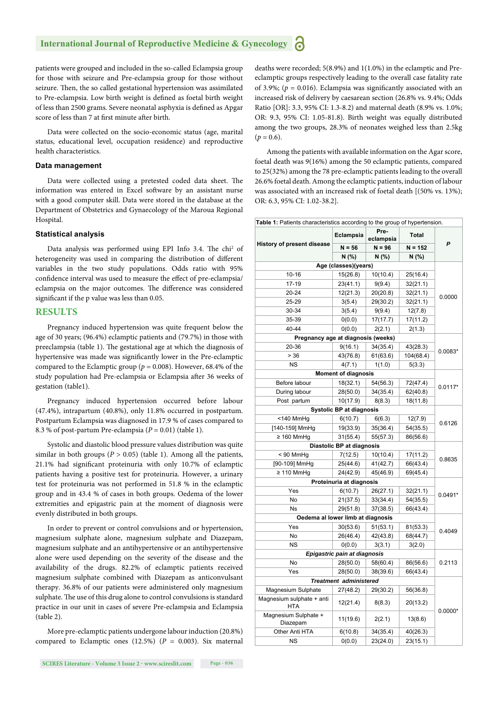patients were grouped and included in the so-called Eclampsia group for those with seizure and Pre-eclampsia group for those without seizure. Then, the so called gestational hypertension was assimilated to Pre-eclampsia. Low birth weight is defined as foetal birth weight of less than 2500 grams. Severe neonatal asphyxia is defined as Apgar score of less than 7 at first minute after birth.

Data were collected on the socio-economic status (age, marital status, educational level, occupation residence) and reproductive health characteristics.

#### **Data management**

Data were collected using a pretested coded data sheet. The information was entered in Excel software by an assistant nurse with a good computer skill. Data were stored in the database at the Department of Obstetrics and Gynaecology of the Maroua Regional Hospital.

#### **Statistical analysis**

Data analysis was performed using EPI Info 3.4. The chi<sup>2</sup> of heterogeneity was used in comparing the distribution of different variables in the two study populations. Odds ratio with 95% confidence interval was used to measure the effect of pre-eclampsia/ eclampsia on the major outcomes. The difference was considered significant if the p value was less than 0.05.

#### **RESULTS**

Pregnancy induced hypertension was quite frequent below the age of 30 years; (96.4%) eclamptic patients and (79.7%) in those with preeclampsia (table 1). The gestational age at which the diagnosis of hypertensive was made was significantly lower in the Pre-eclamptic compared to the Eclamptic group ( $p = 0.008$ ). However, 68.4% of the study population had Pre-eclampsia or Eclampsia after 36 weeks of gestation (table1).

Pregnancy induced hypertension occurred before labour (47.4%), intrapartum (40.8%), only 11.8% occurred in postpartum. Postpartum Eclampsia was diagnosed in 17.9 % of cases compared to 8.3 % of post-partum Pre-eclampsia (*P* = 0.01) (table 1).

Systolic and diastolic blood pressure values distribution was quite similar in both groups ( $P > 0.05$ ) (table 1). Among all the patients, 21.1% had significant proteinuria with only 10.7% of eclamptic patients having a positive test for proteinuria. However, a urinary test for proteinuria was not performed in 51.8 % in the eclamptic group and in 43.4 % of cases in both groups. Oedema of the lower extremities and epigastric pain at the moment of diagnosis were evenly distributed in both groups.

In order to prevent or control convulsions and or hypertension, magnesium sulphate alone, magnesium sulphate and Diazepam, magnesium sulphate and an antihypertensive or an antihypertensive alone were used depending on the severity of the disease and the availability of the drugs. 82.2% of eclamptic patients received magnesium sulphate combined with Diazepam as anticonvulsant therapy. 36.8% of our patients were administered only magnesium sulphate. The use of this drug alone to control convulsions is standard practice in our unit in cases of severe Pre-eclampsia and Eclampsia (table 2).

More pre-eclamptic patients undergone labour induction (20.8%) compared to Eclamptic ones  $(12.5\%)$   $(P = 0.003)$ . Six maternal deaths were recorded; 5(8.9%) and 1(1.0%) in the eclamptic and Preeclamptic groups respectively leading to the overall case fatality rate of 3.9%; ( $p = 0.016$ ). Eclampsia was significantly associated with an increased risk of delivery by caesarean section (26.8% vs. 9.4%; Odds Ratio [OR]: 3.3, 95% CI: 1.3-8.2) and maternal death (8.9% vs. 1.0%; OR: 9.3, 95% CI: 1.05-81.8). Birth weight was equally distributed among the two groups, 28.3% of neonates weighed less than 2.5kg  $(p = 0.6)$ .

Among the patients with available information on the Agar score, foetal death was 9(16%) among the 50 eclamptic patients, compared to 25(32%) among the 78 pre-eclamptic patients leading to the overall 26.6% foetal death. Among the eclamptic patients, induction of labour was associated with an increased risk of foetal death [(50% vs. 13%); OR: 6.3, 95% CI: 1.02-38.2].

| Table 1: Patients characteristics according to the group of hypertension. |                                 |                   |              |           |  |  |  |
|---------------------------------------------------------------------------|---------------------------------|-------------------|--------------|-----------|--|--|--|
|                                                                           | Eclampsia                       | Pre-<br>eclampsia | <b>Total</b> |           |  |  |  |
| <b>History of present disease</b>                                         | $N = 56$                        | $N = 96$          | $N = 152$    | P         |  |  |  |
|                                                                           | N(% )                           | N(% )             | N(% )        |           |  |  |  |
| Age (classes)(years)                                                      |                                 |                   |              |           |  |  |  |
| $10 - 16$                                                                 | 15(26.8)                        | 10(10.4)          | 25(16.4)     |           |  |  |  |
| 17-19                                                                     | 23(41.1)                        | 9(9.4)            | 32(21.1)     |           |  |  |  |
| $20 - 24$                                                                 | 12(21.3)                        | 20(20.8)          | 32(21.1)     | 0.0000    |  |  |  |
| 25-29                                                                     | 3(5.4)                          | 29(30.2)          | 32(21.1)     |           |  |  |  |
| 30-34                                                                     | 3(5.4)                          | 9(9.4)            | 12(7.8)      |           |  |  |  |
| 35-39                                                                     | 0(0.0)                          | 17(17.7)          | 17(11.2)     |           |  |  |  |
| $40 - 44$                                                                 | 0(0.0)                          | 2(2.1)            | 2(1.3)       |           |  |  |  |
| Pregnancy age at diagnosis (weeks)                                        |                                 |                   |              |           |  |  |  |
| 20-36                                                                     | 9(16.1)                         | 34(35.4)          | 43(28.3)     | $0.0083*$ |  |  |  |
| > 36                                                                      | 43(76.8)                        | 61(63.6)          | 104(68.4)    |           |  |  |  |
| <b>NS</b>                                                                 | 4(7.1)                          | 1(1.0)            | 5(3.3)       |           |  |  |  |
|                                                                           | <b>Moment of diagnosis</b>      |                   |              |           |  |  |  |
| Before labour                                                             | 18(32.1)                        | 54(56.3)          | 72(47.4)     | $0.0117*$ |  |  |  |
| During labour                                                             | 28(50.0)                        | 34(35.4)          | 62(40.8)     |           |  |  |  |
| Post partum                                                               | 10(17.9)                        | 8(8.3)            | 18(11.8)     |           |  |  |  |
|                                                                           | <b>Systolic BP at diagnosis</b> |                   |              |           |  |  |  |
| <140 MmHg                                                                 | 6(10.7)                         | 6(6.3)            | 12(7.9)      |           |  |  |  |
| [140-159] MmHg                                                            | 19(33.9)                        | 35(36.4)          | 54(35.5)     | 0.6126    |  |  |  |
| $\geq 160$ MmHg                                                           | 31(55.4)                        | 55(57.3)          | 86(56.6)     |           |  |  |  |
|                                                                           | Diastolic BP at diagnosis       |                   |              |           |  |  |  |
| $< 90$ MmHg                                                               | 7(12.5)                         | 10(10.4)          | 17(11.2)     | 0.8635    |  |  |  |
| [90-109] MmHg                                                             | 25(44.6)                        | 41(42.7)          | 66(43.4)     |           |  |  |  |
| $\geq 110$ MmHq                                                           | 24(42.9)                        | 45(46.9)          | 69(45.4)     |           |  |  |  |
|                                                                           | Proteinuria at diagnosis        |                   |              |           |  |  |  |
| Yes                                                                       | 6(10.7)                         | 26(27.1)          | 32(21.1)     |           |  |  |  |
| No                                                                        | 21(37.5)                        | 33(34.4)          | 54(35.5)     | $0.0491*$ |  |  |  |
| <b>Ns</b>                                                                 | 29(51.8)                        | 37(38.5)          | 66(43.4)     |           |  |  |  |
| Oedema al lower limb at diagnosis                                         |                                 |                   |              |           |  |  |  |
| Yes                                                                       | 30(53.6)                        | 51(53.1)          | 81(53.3)     | 0.4049    |  |  |  |
| No                                                                        | 26(46.4)                        | 42(43.8)          | 68(44.7)     |           |  |  |  |
| <b>NS</b>                                                                 | 0(0.0)                          | 3(3.1)            | 3(2.0)       |           |  |  |  |
| Epigastric pain at diagnosis                                              |                                 |                   |              |           |  |  |  |
| No                                                                        | 28(50.0)                        | 58(60.4)          | 86(56.6)     | 0.2113    |  |  |  |
| Yes                                                                       | 28(50.0)                        | 38(39.6)          | 66(43.4)     |           |  |  |  |
| <b>Treatment administered</b>                                             |                                 |                   |              |           |  |  |  |
| Magnesium Sulphate                                                        | 27(48.2)                        | 29(30.2)          | 56(36.8)     |           |  |  |  |
| Magnesium sulphate + anti<br><b>HTA</b>                                   | 12(21.4)                        | 8(8.3)            | 20(13.2)     |           |  |  |  |
| Magnesium Sulphate +<br>Diazepam                                          | 11(19.6)                        | 2(2.1)            | 13(8.6)      | $0.0000*$ |  |  |  |
| Other Anti HTA                                                            | 6(10.8)                         | 34(35.4)          | 40(26.3)     |           |  |  |  |
| <b>NS</b>                                                                 | 0(0.0)                          | 23(24.0)          | 23(15.1)     |           |  |  |  |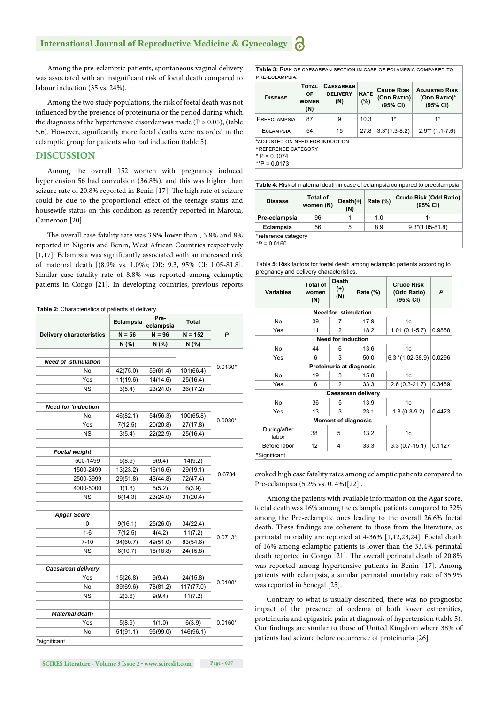#### **International Journal of Reproductive Medicine & Gynecology**

Among the pre-eclamptic patients, spontaneous vaginal delivery was associated with an insignificant risk of foetal death compared to labour induction (35 vs. 24%).

Among the two study populations, the risk of foetal death was not influenced by the presence of proteinuria or the period during which the diagnosis of the hypertensive disorder was made ( $P > 0.05$ ), (table 5,6). However, significantly more foetal deaths were recorded in the eclamptic group for patients who had induction (table 5).

#### **DISCUSSION**

Among the overall 152 women with pregnancy induced hypertension 56 had convulsion (36.8%). and this was higher than seizure rate of 20.8% reported in Benin [17]. The high rate of seizure could be due to the proportional effect of the teenage status and housewife status on this condition as recently reported in Maroua, Cameroon [20].

The overall case fatality rate was 3.9% lower than , 5.8% and 8% reported in Nigeria and Benin, West African Countries respectively  $[1,17]$ . Eclampsia was significantly associated with an increased risk of maternal death [(8.9% vs. 1.0%); OR: 9.3, 95% CI: 1.05-81.8]. Similar case fatality rate of 8.8% was reported among eclamptic patients in Congo [21]. In developing countries, previous reports

| <b>Delivery characteristics</b> |                            | Eclampsia | Pre-<br>eclampsia | <b>Total</b> |           |  |
|---------------------------------|----------------------------|-----------|-------------------|--------------|-----------|--|
|                                 |                            | $N = 56$  | $N = 96$          | $N = 152$    | P         |  |
|                                 |                            | N(% )     | N(% )             | N(% )        |           |  |
|                                 |                            |           |                   |              |           |  |
|                                 | <b>Need of stimulation</b> |           |                   |              |           |  |
|                                 | No                         | 42(75.0)  | 59(61.4)          | 101(66.4)    | $0.0130*$ |  |
|                                 | Yes                        | 11(19.6)  | 14(14.6)          | 25(16.4)     |           |  |
|                                 | <b>NS</b>                  | 3(5.4)    | 23(24.0)          | 26(17.2)     |           |  |
|                                 |                            |           |                   |              |           |  |
|                                 | <b>Need for 'induction</b> |           |                   |              |           |  |
|                                 | No                         | 46(82.1)  | 54(56.3)          | 100(65.8)    | $0.0030*$ |  |
|                                 | Yes                        | 7(12.5)   | 20(20.8)          | 27(17.8)     |           |  |
|                                 | <b>NS</b>                  | 3(5.4)    | 22(22.9)          | 25(16.4)     |           |  |
|                                 |                            |           |                   |              |           |  |
|                                 | <b>Foetal weight</b>       |           |                   |              |           |  |
|                                 | 500-1499                   | 5(8.9)    | 9(9.4)            | 14(9.2)      |           |  |
|                                 | 1500-2499                  | 13(23.2)  | 16(16.6)          | 29(19.1)     | 0.6734    |  |
|                                 | 2500-3999                  | 29(51.8)  | 43(44.8)          | 72(47.4)     |           |  |
|                                 | 4000-5000                  | 1(1.8)    | 5(5.2)            | 6(3.9)       |           |  |
|                                 | NS                         | 8(14.3)   | 23(24.0)          | 31(20.4)     |           |  |
|                                 | <b>Apgar Score</b>         |           |                   |              |           |  |
|                                 | $\Omega$                   | 9(16.1)   | 25(26.0)          | 34(22.4)     |           |  |
|                                 | $1 - 6$                    | 7(12.5)   | 4(4.2)            | 11(7.2)      |           |  |
|                                 | $7 - 10$                   | 34(60.7)  | 49(51.0)          | 83(54.6)     | $0.0713*$ |  |
|                                 | <b>NS</b>                  | 6(10.7)   | 18(18.8)          | 24(15.8)     |           |  |
|                                 |                            |           |                   |              |           |  |
|                                 | Caesarean delivery         |           |                   |              |           |  |
|                                 | Yes                        | 15(26.8)  | 9(9.4)            | 24(15.8)     |           |  |
|                                 | No                         | 39(69.6)  | 78(81.2)          | 117(77.0)    | $0.0108*$ |  |
|                                 | <b>NS</b>                  | 2(3.6)    | 9(9.4)            | 11(7.2)      |           |  |
|                                 | Maternal death             |           |                   |              |           |  |
|                                 | Yes                        | 5(8.9)    | 1(1.0)            | 6(3.9)       | $0.0160*$ |  |
|                                 | No                         | 51(91.1)  | 95(99.0)          | 146(96.1)    |           |  |

Table 3: RISK OF CAESAREAN SECTION IN CASE OF ECLAMPSIA COMPARED TO PRE-ECLAMPSIA

| <b>DISEASE</b>                                                                                         | <b>TOTAL</b><br>OF<br><b>WOMEN</b><br>(N) | <b>CAESAREAN</b><br><b>DELIVERY</b><br>(N) | <b>RATE</b><br>(%) | <b>CRUDE RISK</b><br>(ODD RATIO)<br>(95% CI) | <b>ADJUSTED RISK</b><br>(ODD RATIO) <sup>A</sup><br>(95% CI) |  |  |
|--------------------------------------------------------------------------------------------------------|-------------------------------------------|--------------------------------------------|--------------------|----------------------------------------------|--------------------------------------------------------------|--|--|
| PREECLAMPSIA                                                                                           | 87                                        | 9                                          | 10.3               | 1 <sup>c</sup>                               | 1 <sup>c</sup>                                               |  |  |
| <b>ECLAMPSIA</b>                                                                                       | 54                                        | 15                                         | 27.8               | $3.3*(1.3-8.2)$                              | $2.9**$ (1.1-7.6)                                            |  |  |
| ADJUSTED ON NEED FOR INDUCTION<br><sup>C</sup> REFERENCE CATEGORY<br>* $P = 0.0074$<br>** $P = 0.0173$ |                                           |                                            |                    |                                              |                                                              |  |  |

**Table 4:** Risk of maternal death in case of eclampsia compared to preeclampsia.

| <b>Disease</b>                                   | <b>Total of</b><br>women (N) | $Death(+)$<br>(N) | <b>Rate (%)</b> | Crude Risk (Odd Ratio)<br>(95% CI) |
|--------------------------------------------------|------------------------------|-------------------|-----------------|------------------------------------|
| Pre-eclampsia                                    | 96                           |                   | 1.0             | 1 <sup>c</sup>                     |
| Eclampsia                                        | 56                           | 5                 | 8.9             | $9.3*(1.05-81.8)$                  |
| <sup>c</sup> reference category<br>$*P = 0.0160$ |                              |                   |                 |                                    |

Table **5:** Risk factors for foetal death among eclamptic patients according to pregnancy and delivery characteristics.

| <b>Variables</b>           | <b>Total of</b><br>women<br>(N) | Death<br>$^{(+)}$<br>(N)    | Rate (%) | <b>Crude Risk</b><br>(Odd Ratio)<br>(95% CI) | P      |  |
|----------------------------|---------------------------------|-----------------------------|----------|----------------------------------------------|--------|--|
|                            |                                 | <b>Need for stimulation</b> |          |                                              |        |  |
| No                         | 39                              | 7                           | 17.9     | 1c                                           |        |  |
| Yes                        | 11                              | $\overline{2}$              | 18.2     | $1.01(0.1-5.7)$                              | 0.9858 |  |
|                            |                                 | <b>Need for induction</b>   |          |                                              |        |  |
| No                         | 44                              | 6                           | 13.6     | 1c                                           |        |  |
| Yes                        | 6                               | 3                           | 50.0     | $6.3*(1.02-38.9)$                            | 0.0296 |  |
| Proteinuria at diagnosis   |                                 |                             |          |                                              |        |  |
| No                         | 19                              | 3                           | 15.8     | 1c                                           |        |  |
| Yes                        | 6                               | 2                           | 33.3     | $2.6(0.3-21.7)$                              | 0.3489 |  |
| Caesarean delivery         |                                 |                             |          |                                              |        |  |
| No                         | 36                              | 5                           | 13.9     | 1c                                           |        |  |
| Yes                        | 13                              | 3                           | 23.1     | $1.8(0.3-9.2)$                               | 0.4423 |  |
| <b>Moment of diagnosis</b> |                                 |                             |          |                                              |        |  |
| During/after<br>labor      | 38                              | 5                           | 13.2     | 1c                                           |        |  |
| Before labor               | 12                              | 4                           | 33.3     | $3.3(0.7-15.1)$                              | 0.1127 |  |
| *Significant               |                                 |                             |          |                                              |        |  |

evoked high case fatality rates among eclamptic patients compared to Pre-eclampsia (5.2% vs. 0. 4%)[22] .

Among the patients with available information on the Agar score, foetal death was 16% among the eclamptic patients compared to 32% among the Pre-eclamptic ones leading to the overall 26.6% foetal death. These findings are coherent to those from the literature, as perinatal mortality are reported at 4-36% [1,12,23,24]. Foetal death of 16% among eclamptic patients is lower than the 33.4% perinatal death reported in Congo [21]. The overall perinatal death of 20.8% was reported among hypertensive patients in Benin [17]. Among patients with eclampsia, a similar perinatal mortality rate of 35.9% was reported in Senegal [25].

Contrary to what is usually described, there was no prognostic impact of the presence of oedema of both lower extremities, proteinuria and epigastric pain at diagnosis of hypertension (table 5). Our findings are similar to those of United Kingdom where 38% of patients had seizure before occurrence of proteinuria [26].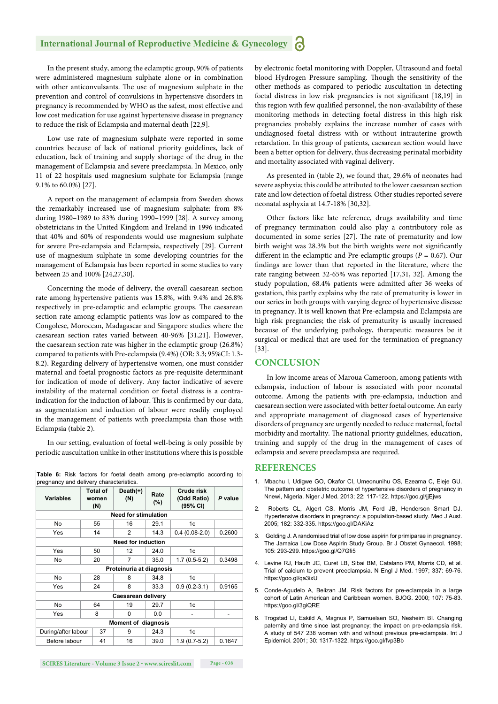#### **International Journal of Reproductive Medicine & Gynecology**

In the present study, among the eclamptic group, 90% of patients were administered magnesium sulphate alone or in combination with other anticonvulsants. The use of magnesium sulphate in the prevention and control of convulsions in hypertensive disorders in pregnancy is recommended by WHO as the safest, most effective and low cost medication for use against hypertensive disease in pregnancy to reduce the risk of Eclampsia and maternal death [22,9].

Low use rate of magnesium sulphate were reported in some countries because of lack of national priority guidelines, lack of education, lack of training and supply shortage of the drug in the management of Eclampsia and severe preeclampsia. In Mexico, only 11 of 22 hospitals used magnesium sulphate for Eclampsia (range 9.1% to 60.0%) [27].

A report on the management of eclampsia from Sweden shows the remarkably increased use of magnesium sulphate: from 8% during 1980–1989 to 83% during 1990–1999 [28]. A survey among obstetricians in the United Kingdom and Ireland in 1996 indicated that 40% and 60% of respondents would use magnesium sulphate for severe Pre-eclampsia and Eclampsia, respectively [29]. Current use of magnesium sulphate in some developing countries for the management of Eclampsia has been reported in some studies to vary between 25 and 100% [24,27,30].

Concerning the mode of delivery, the overall caesarean section rate among hypertensive patients was 15.8%, with 9.4% and 26.8% respectively in pre-eclamptic and eclamptic groups. The caesarean section rate among eclamptic patients was low as compared to the Congolese, Moroccan, Madagascar and Singapore studies where the caesarean section rates varied between 40-96% [31,21]. However, the caesarean section rate was higher in the eclamptic group (26.8%) compared to patients with Pre-eclampsia (9.4%) (OR: 3.3; 95%CI: 1.3- 8.2). Regarding delivery of hypertensive women, one must consider maternal and foetal prognostic factors as pre-requisite determinant for indication of mode of delivery. Any factor indicative of severe instability of the maternal condition or foetal distress is a contraindication for the induction of labour. This is confirmed by our data, as augmentation and induction of labour were readily employed in the management of patients with preeclampsia than those with Eclampsia (table 2).

In our setting, evaluation of foetal well-being is only possible by periodic auscultation unlike in other institutions where this is possible

| <b>Table 6:</b> Risk factors for foetal death among pre-eclamptic according to<br>pregnancy and delivery characteristics. |                                 |                             |                |                                              |         |  |
|---------------------------------------------------------------------------------------------------------------------------|---------------------------------|-----------------------------|----------------|----------------------------------------------|---------|--|
| <b>Variables</b>                                                                                                          | <b>Total of</b><br>women<br>(N) | Death(+)<br>(N)             | Rate<br>$(\%)$ | <b>Crude risk</b><br>(Odd Ratio)<br>(95% CI) | P value |  |
|                                                                                                                           |                                 | <b>Need for stimulation</b> |                |                                              |         |  |
| No                                                                                                                        | 55                              | 16                          | 29.1           | 1c                                           |         |  |
| Yes                                                                                                                       | 14                              | 2                           | 14.3           | $0.4(0.08-2.0)$                              | 0.2600  |  |
|                                                                                                                           |                                 | <b>Need for induction</b>   |                |                                              |         |  |
| Yes                                                                                                                       | 50                              | 12                          | 24.0           | 1c                                           |         |  |
| No                                                                                                                        | 20                              | 7                           | 35.0           | $1.7(0.5-5.2)$                               | 0.3498  |  |
|                                                                                                                           |                                 | Proteinuria at diagnosis    |                |                                              |         |  |
| No                                                                                                                        | 28                              | 8                           | 34.8           | 1c                                           |         |  |
| Yes                                                                                                                       | 24                              | 8                           | 33.3           | $0.9(0.2-3.1)$                               | 0.9165  |  |
| Caesarean delivery                                                                                                        |                                 |                             |                |                                              |         |  |
| No                                                                                                                        | 64                              | 19                          | 29.7           | 1c                                           |         |  |
| Yes                                                                                                                       | 8                               | 0                           | 0.0            |                                              |         |  |
| <b>Moment of diagnosis</b>                                                                                                |                                 |                             |                |                                              |         |  |
| During/after labour                                                                                                       | 37                              | 9                           | 24.3           | 1c                                           |         |  |
| Before labour                                                                                                             | 41                              | 16                          | 39.0           | $1.9(0.7-5.2)$                               | 0.1647  |  |

by electronic foetal monitoring with Doppler, Ultrasound and foetal blood Hydrogen Pressure sampling. Though the sensitivity of the other methods as compared to periodic auscultation in detecting foetal distress in low risk pregnancies is not significant [18,19] in this region with few qualified personnel, the non-availability of these monitoring methods in detecting foetal distress in this high risk pregnancies probably explains the increase number of cases with undiagnosed foetal distress with or without intrauterine growth retardation. In this group of patients, caesarean section would have been a better option for delivery, thus decreasing perinatal morbidity and mortality associated with vaginal delivery.

As presented in (table 2), we found that, 29.6% of neonates had severe asphyxia; this could be attributed to the lower caesarean section rate and low detection of foetal distress. Other studies reported severe neonatal asphyxia at 14.7-18% [30,32].

Other factors like late reference, drugs availability and time of pregnancy termination could also play a contributory role as documented in some series [27]. The rate of prematurity and low birth weight was 28.3% but the birth weights were not significantly different in the eclamptic and Pre-eclamptic groups ( $P = 0.67$ ). Our findings are lower than that reported in the literature, where the rate ranging between 32-65% was reported [17,31, 32]. Among the study population, 68.4% patients were admitted after 36 weeks of gestation, this partly explains why the rate of prematurity is lower in our series in both groups with varying degree of hypertensive disease in pregnancy. It is well known that Pre-eclampsia and Eclampsia are high risk pregnancies; the risk of prematurity is usually increased because of the underlying pathology, therapeutic measures be it surgical or medical that are used for the termination of pregnancy [33].

#### **CONCLUSION**

In low income areas of Maroua Cameroon, among patients with eclampsia, induction of labour is associated with poor neonatal outcome. Among the patients with pre-eclampsia, induction and caesarean section were associated with better foetal outcome. An early and appropriate management of diagnosed cases of hypertensive disorders of pregnancy are urgently needed to reduce maternal, foetal morbidity and mortality. The national priority guidelines, education, training and supply of the drug in the management of cases of eclampsia and severe preeclampsia are required.

#### **REFERENCES**

- 1. Mbachu I, Udigwe GO, Okafor CI, Umeonunihu OS, Ezeama C, Eleje GU. The pattern and obstetric outcome of hypertensive disorders of pregnancy in Nnewi, Nigeria. Niger J Med. 2013; 22: 117-122. https://goo.gl/jjEjws
- 2. Roberts CL, Algert CS, Morris JM, Ford JB, Henderson Smart DJ. Hypertensive disorders in pregnancy: a population-based study. Med J Aust. 2005; 182: 332-335. https://goo.gl/DAKiAz
- 3. Golding J. A randomised trial of low dose aspirin for primiparae in pregnancy. The Jamaica Low Dose Aspirin Study Group. Br J Obstet Gynaecol. 1998; 105: 293-299. https://goo.gl/Q7Gfi5
- 4. Levine RJ, Hauth JC, Curet LB, Sibai BM, Catalano PM, Morris CD, et al. Trial of calcium to prevent preeclampsia. N Engl J Med. 1997; 337: 69-76. https://goo.gl/qa3ixU
- 5. Conde-Agudelo A, Belizan JM. Risk factors for pre-eclampsia in a large cohort of Latin American and Caribbean women. BJOG. 2000; 107: 75-83. https://goo.gl/3giQRE
- 6. Trogstad LI, Eskild A, Magnus P, Samuelsen SO, Nesheim BI. Changing paternity and time since last pregnancy; the impact on pre-eclampsia risk. A study of 547 238 women with and without previous pre-eclampsia. Int J Epidemiol. 2001; 30: 1317-1322. https://goo.gl/fvp3Bb